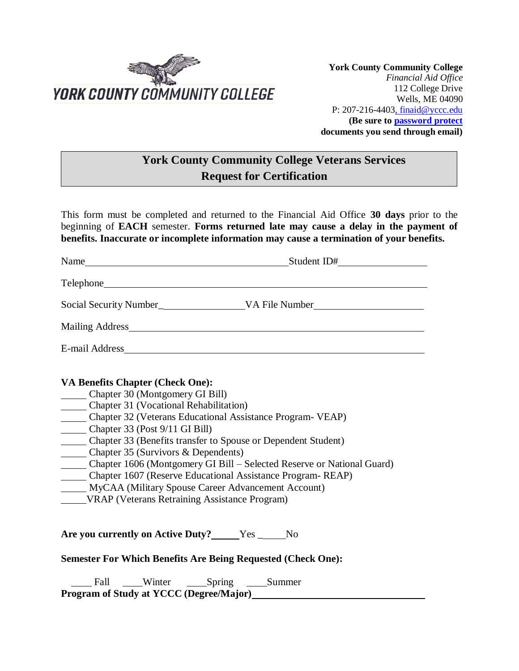

 **York County Community College** *Financial Aid Office* 112 College Drive Wells, ME 04090 P: 207-216-440[3, finaid@yccc.edu](mailto:,%20finaid@yccc.edu) **(Be sure to [password protect](https://my.yccc.edu/ICS/icsfs/How_to_Password_Protect_Your_documents.pdf?target=8fefada3-6d82-40b4-8682-e8d447c8832d) documents you send through email)**

## **York County Community College Veterans Services Request for Certification**

This form must be completed and returned to the Financial Aid Office **30 days** prior to the beginning of **EACH** semester. **Forms returned late may cause a delay in the payment of benefits. Inaccurate or incomplete information may cause a termination of your benefits.**

| Name                                                                                                                                                                                                                                                                                                                                                                                                                                                                                                                                                                          | Student ID# |  |  |
|-------------------------------------------------------------------------------------------------------------------------------------------------------------------------------------------------------------------------------------------------------------------------------------------------------------------------------------------------------------------------------------------------------------------------------------------------------------------------------------------------------------------------------------------------------------------------------|-------------|--|--|
| Telephone <b>Example 2018</b>                                                                                                                                                                                                                                                                                                                                                                                                                                                                                                                                                 |             |  |  |
|                                                                                                                                                                                                                                                                                                                                                                                                                                                                                                                                                                               |             |  |  |
| Mailing Address Manual Manual Manual Manual Manual Manual Manual Manual Manual Manual Manual Manual Manual Manual Manual Manual Manual Manual Manual Manual Manual Manual Manual Manual Manual Manual Manual Manual Manual Man                                                                                                                                                                                                                                                                                                                                                |             |  |  |
|                                                                                                                                                                                                                                                                                                                                                                                                                                                                                                                                                                               |             |  |  |
| VA Benefits Chapter (Check One):<br>Chapter 30 (Montgomery GI Bill)<br>Chapter 31 (Vocational Rehabilitation)<br>Chapter 32 (Veterans Educational Assistance Program- VEAP)<br>Chapter 33 (Post 9/11 GI Bill)<br>Chapter 33 (Benefits transfer to Spouse or Dependent Student)<br>Chapter 35 (Survivors $&$ Dependents)<br>Chapter 1606 (Montgomery GI Bill – Selected Reserve or National Guard)<br>Chapter 1607 (Reserve Educational Assistance Program-REAP)<br>MyCAA (Military Spouse Career Advancement Account)<br><b>VRAP</b> (Veterans Retraining Assistance Program) |             |  |  |

Are you currently on Active Duty? Yes \_ No

**Semester For Which Benefits Are Being Requested (Check One):**

Fall Winter Spring Summer **Program of Study at YCCC (Degree/Major)**